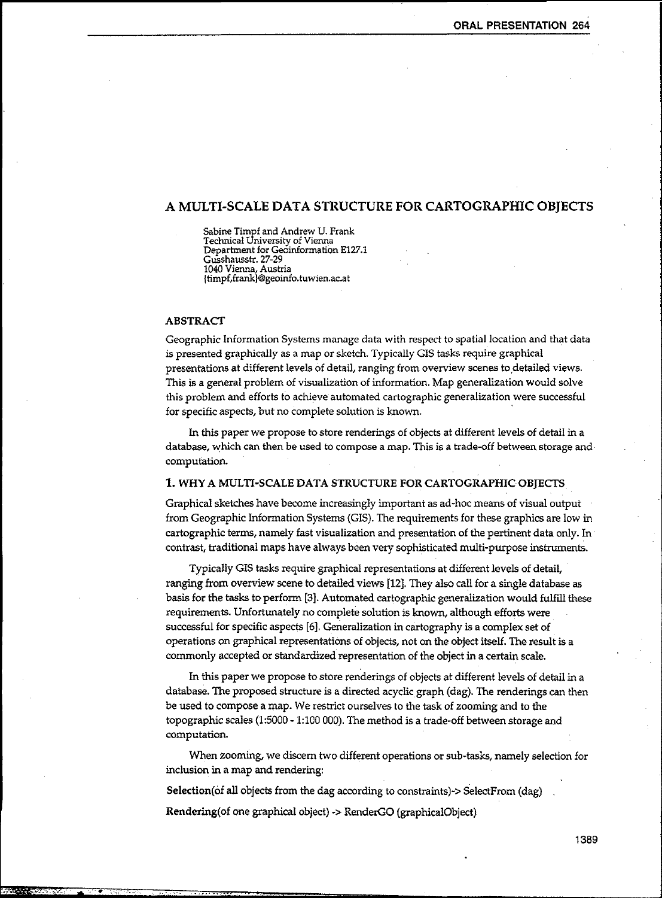# A MULTI-SCALE DATA STRUCTURE FOR CARTOGRAPHIC OBJECTS

Sabine Timpf and Andrew U. Frank Technical University of Vienna Department for Geoinformation E127.1 Gusshausstr. 27-29 1040 Vienna, Austria {timpf,frank}@geoinfo.tuwien.ac.at

#### **ABSTRACT**

 $\overline{\phantom{a}}$ 

Geographic Information Systems manage data with respect to spatial location and that data is presented graphically as a map or sketch. Typically GIS tasks require graphical presentations at different levels of detail, ranging from overview scenes to detailed views. This is a general problem of visualization of information. Map generalization would solve this problem and efforts to achieve automated cartographic generalization were successful for specific aspects, but no complete solution is known. .

In this paper we propose to store renderings of objects at different levels of detail in a database, which can then be used to compose a map. This is a trade-off between storage and computation.

#### 1. WHY A MULTI-SCALE DATA STRUCTURE FOR CARTOGRAPHIC OBJECTS

Graphical sketches have become increasingly important as ad-hoc means of visual output from Geographic Information Systems (GIS). The requirements for these graphics are low in cartographic terms, namely fast visualization and presentation of the pertinent data only. In contrast, traditional maps have always been very sophisticated multi-purpose instruments.

Typically GIS tasks require graphical representations at different levels of detail, ranging from overview scene to detailed views [12]. They also call for a single database as basis for the tasks to perform [3]. Automated cartographic generalization would fulfill these requirements. Unfortunately no complete solution is known, although efforts were successful for specific aspects [6]. Generalization in cartography is a complex set of operations on graphical representations of objects, not on the object itself. The result is a commonly accepted or standardized representation of the object in a certain scale.

In this paper we propose to store renderings of objects at different levels of detail in a database. The proposed structure is a directed acyclic graph (dag). The renderings can then be used to compose a map. We restrict ourselves to the task of zooming and to the topographic scales (1:5000 - 1:100 000). The method is a trade-off between storage and computation.

When zooming, we discern two different operations or sub-tasks, namely selection for inclusion in a map and rendering:

Selection(of all objects from the dag according to constraints)-> SelectFrom (dag)

Rendering(of one graphical object) .> RenderGO (graphicaIObject)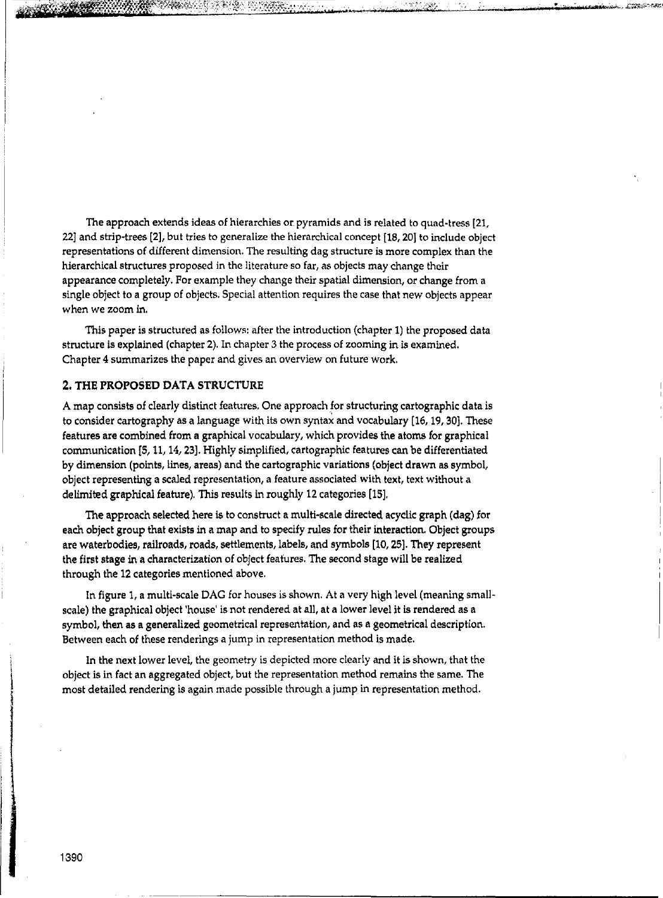The approach extends ideas of hierarchies or. pyramids and is related to quad-tress [21, 22] and strip-trees [2], but tries to generalize the hierarchical concept [18, 20} to include object representations of different dimension. The resulting dag structure is more complex than the hierarchical structures proposed in the literature so far, as objects may change their appearance completely. For example they change their spatial dimension, or change from a single object to a group of objects. Special attention requires the case that new objects appear when we zoom in.

This paper is structured as follows: after the introduction (chapter 1) the proposed data structure is explained (chapter 2). In chapter 3 the process of zooming in is examined. Chapter 4 summarizes the paper and gives an overview on future work.

### **2. THE PROPOSED DATA STRUCTURE**

A map consists of clearly distinct features. One approach for structuring cartographic data is to consider cartography as a language with its own syntax and vocabulary [16, 19, 30]. These features are combined from a graphical vocabulary, which provides the atoms for graphical communication [5, 11, 14, 23). Highly simplified, cartographic features can be differentiated by dimension (points, lines, areas) and the cartographic variations (object drawn as symbol, object representing a scaled representation, a feature associated with text, text without a delimited graphical feature). This results in roughly 12 categories [IS].

The approach selected here is to construct a multi-scale directed acyclic graph (dag) for each object group that exists in a map and to specify rules for their interaction. Object groups are waterbodies, railroads, roads, settlements, labels, and symbols [10, 25]. They represent the first stage in a characterization of object features. The second stage will be realized through the 12 categories mentioned above.

In figure 1, a multi-scale DAG for houses is shown. At a very high level (meaning smallscale) the graphical object 'house' is not rendered at all, at a lower level it is rendered as a symbol, then as a generalized geometrical representation, and as a geometrical description. Between each of these renderings a jump in representation method is made.

In the next lower level, the geometry is depicted more clearly and it is shown, that the object is in fact an aggregated object, but the representation method remains the same. The most detailed rendering is again made possible through a jump in representation method.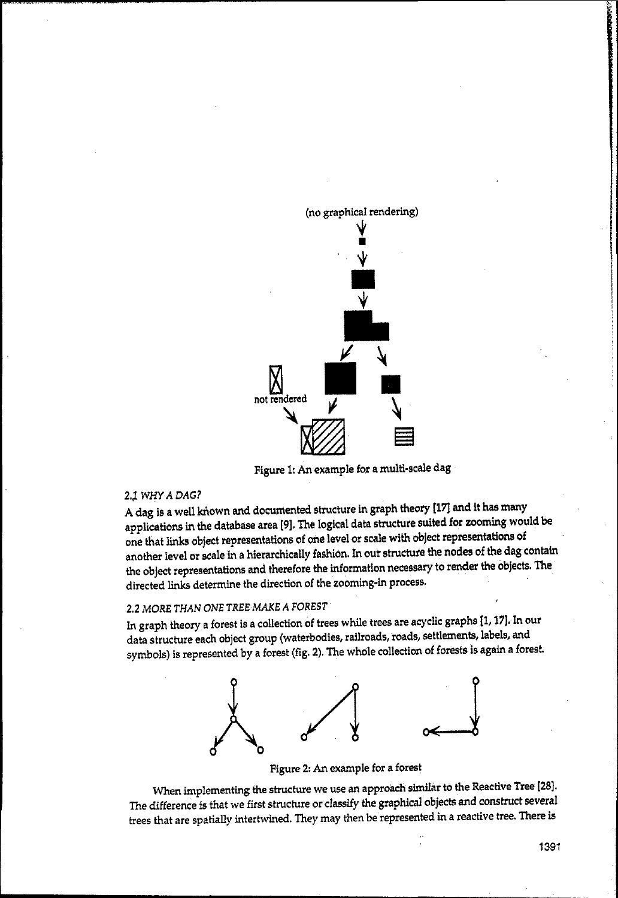

Figure 1: An example for a multi-scale dag

### 2.~ *WHY A DAG?*

A dag is a well known and documented structure in graph theory [17] and it has many applications in the database area [9]. The logical data structure suited for zooming would be one that links object representations of one level or scale with object representations of another level or scale in a hierarchically fashion. In our structure the nodes of the dag contain the object representations and therefore the information necessary to render the objects. The directed links determine the direction of the zooming-in process.

# *2.2 MORE THAN* ONE *TREE MAKE A FOREST*

In graph theory a forest is a collection of trees while trees are acyclic graphs [1, 17]. In our data structure each object group (waterbodies, railroads, roads, settlements, labels, and symbols) is represented by a forest (fig. 2). The whole collection of forests is again a forest.



Figure 2: An example for a forest

When implementing the structure we use an approach similar to the Reactive Tree (28). The difference is that we first structure or classify the graphical objects and construct several trees that are spatially intertwined. They may then be represented in a reactive tree. There is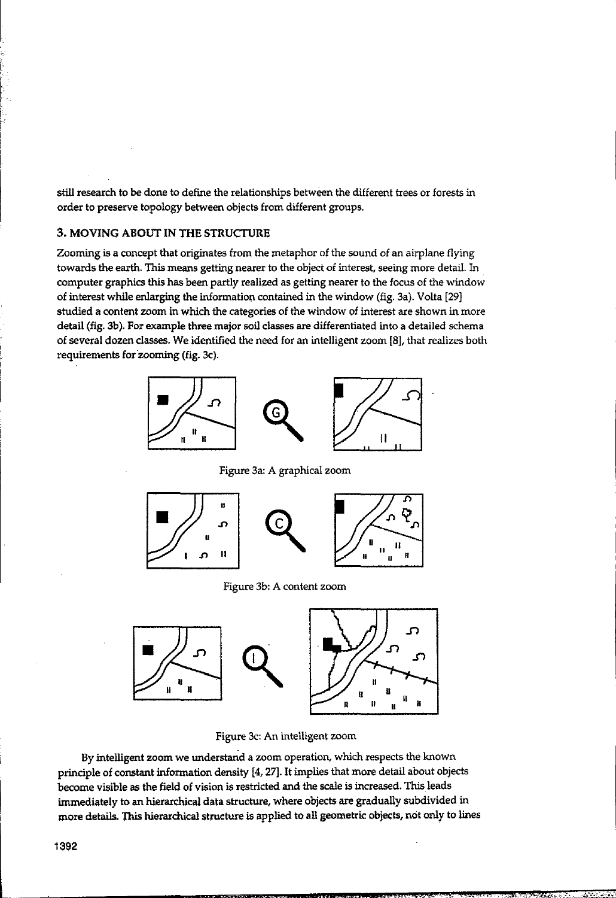still research to be done to define the relationships between the different trees or forests in order to preserve topology between objects from different groups.

# 3. MOVING ABOUT IN THE STRUCTURE

Zooming is a concept that originates from the metaphor of the sound of an airplane flying towards the earth. This means getting nearer to the object of interest, seeing more detail. In computer graphics this has been partly realized as getting nearer to the focus of the window of interest while enlarging the information contained in the window (fig. 3a). Volta [29) studied a content zoom in which the categories of the window of interest are shown in more detail (fig. 3b). For example three major soil classes are differentiated into a detailed schema of several dozen classes. We identified the need for an intelligent zoom [8), that realizes both requirements for zooming (fig. 3c).



Figure 3a: A graphical zoom



Figure 3b: A content zoom



Figure 3c: An intelligent zoom

By intelligent zoom we understand a zoom operation, which respects the known principle of constant information density [4, 27]. It implies that more detail about objects become visible as the field of vision is restricted and the scale is increased. This leads immediately to an hierarchical data structure, where objects are gradually subdivided in more details. This hierarchical structure is applied to all geometric objects, not only to lines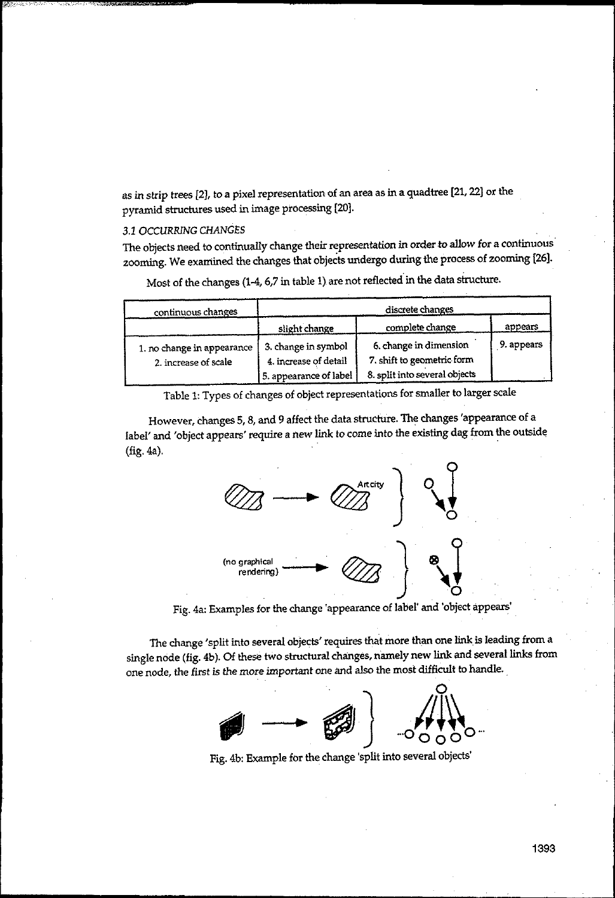as in strip trees [2J, to a pixel representation of an area as in a quadtree [21,22J or the pyramid structures used in image processing [20j.

## *3.1 OCCURRING CHANGES*

The objects need to continually change their representation in order to allow for a continuous' zooming. We examined the changes that objects undergo during the process of zooming [26J.

Most of the changes (1-4, 6,7 in table 1) are not reflected in the data structure.

| continuous changes                                 | discrete changes                                                       |                                                                                       |            |
|----------------------------------------------------|------------------------------------------------------------------------|---------------------------------------------------------------------------------------|------------|
|                                                    | slight change                                                          | complete change                                                                       | appears    |
| 1. no change in appearance<br>2. increase of scale | 3. change in symbol<br>4. increase of detail<br>5. appearance of label | 6, change in dimension<br>7. shift to geometric form<br>8. split into several objects | 9. appears |

Table 1: Types of changes of object representations for smaller to larger scale

However, changes 5, 8, and 9 affect the data structure. The changes 'appearance of a label' and 'object appears' require a new link to come into the existing dag from the outside<br>(fig. 4a).



Fig. 4a: Examples for the change 'appearance of label' and 'object appears'

The change 'split into several objects' requires that more than one link is leading from a single node (fig, 4b). Of these two structural changes, namely new link and several links from one node, the first is the more important one and also the most difficult to handle.



Fig. 4b: Example for the change 'split into several objects'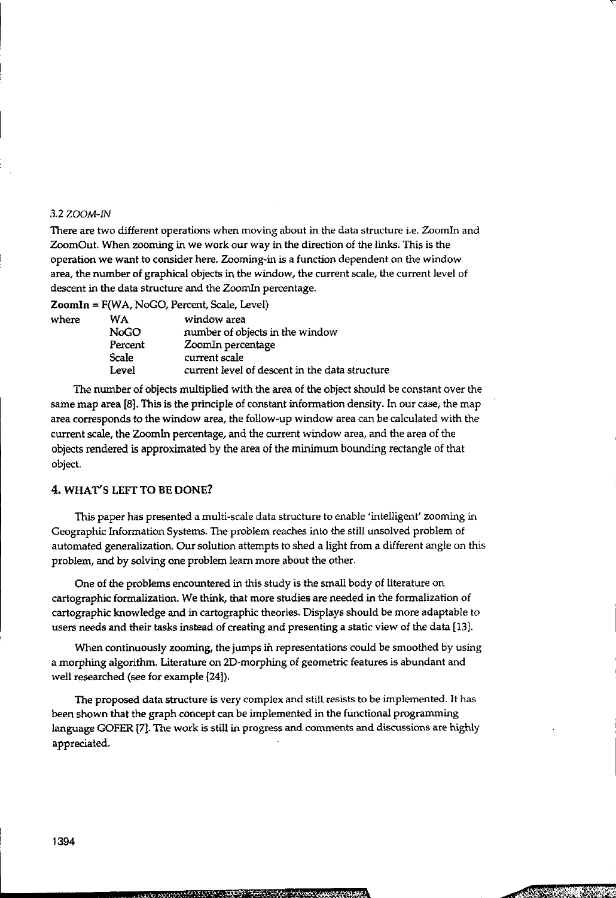#### 3.2 ZOOM-IN

There are two different operations when moving about in the data structure i.e. Zoomln and ZoomOut. When zooming in we work our way in the direction of the links. This is the operation we want to consider here. Zooming-in is a function dependent on the window area, the number of graphical objects in the window, the current scale, the current level of descent in the data structure and the Zoomln percentage.

 $\text{ZoomIn} = F(WA, NoGO, Percent, Scale, Level)$ <br>where  $WA$  window area

| where | WA          | window area                                    |
|-------|-------------|------------------------------------------------|
|       |             |                                                |
|       | <b>NoGO</b> | number of objects in the window                |
|       | Percent     | ZoomIn percentage                              |
|       | Scale       | current scale                                  |
|       | Level       | current level of descent in the data structure |
|       |             |                                                |

The number of objects multiplied with the area of the object should be constant over the same map area [8j. This is the principle of constant information density. In our case, the map area corresponds to the window area, the follow-up window area can be calculated with the current scale, the Zoomln percentage, and the current window area, and the area of the objects rendered is approximated by the area of the minimum bounding rectangle of that object.

### 4. WHAT'S LEFT TO BE DONE?

This paper has presented a multi-scale data structure to enable 'intelligent' zooming in Geographic Information Systems. The problem reaches into the stiII unsolved problem of automated generalization. Our solution attempts to shed a light from a different angle on this problem, and by solving one problem learn more about the other.

One of the problems encountered in this study is the small body of literature on cartographic formalization. We think, that more studies are needed in the formalization of cartographic knowledge and in cartographic theories. Displays should be more adaptable to users needs and their tasks instead of creating and presenting a static view of the data [13J.

When continuously zooming, the jumps in representations could be smoothed by using a morphing algorithm. Literature on 2D-morphing of geometric features is abundant and well researched (see for example [24]).

The proposed data structure is very complex and still resists to be implemented. It has been shown that the graph concept can be implemented in the functional programming language GOFER [7]. The work is still in progress and comments and discussions are highly appreciated.

**!**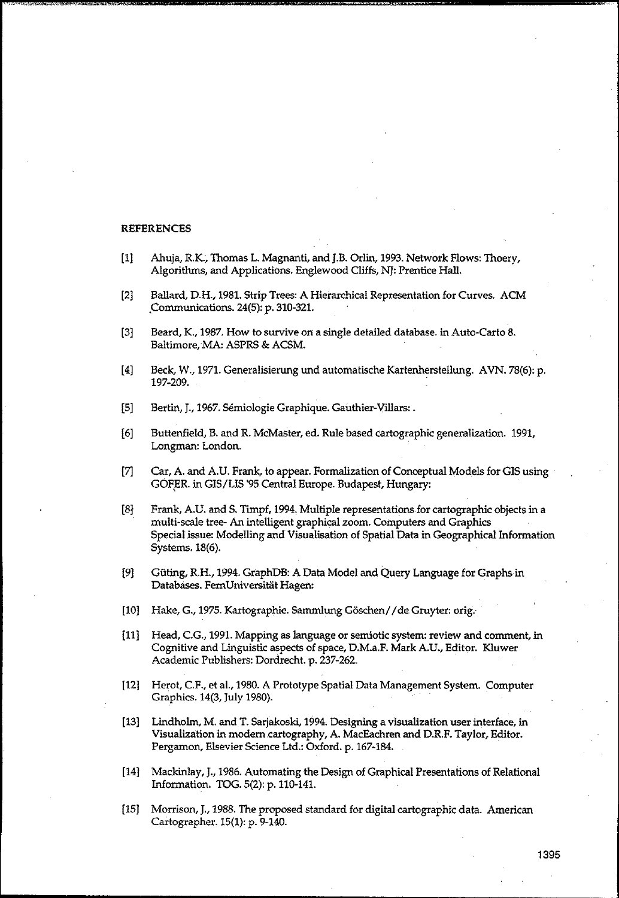#### **REFERENCES**

- [1] Ahuja, R.K., Thomas L. Magnanti, and J.B. Orlin, 1993. Network Flows: Thoery, Algorithms, and Applications. Englewood Cliffs, NJ: Prentice Hall.
- [2) Ballard, D.H., 1981. Strip Trees: A Hierarchical Representation for Curves. ACM ,Communications. 24(5): p, 310-321.
- [3] Beard, K., 1987. How to survive on a single detailed database. in Auto-Carto 8. Baltimore, MA: ASPRS & ACSM.
- [4] Beck, W., 1971. Generalisierung und automatische Kartenherstellung. AVN. 78(6): p. 197-209,
- [5] Bertin, J., 1967. Semiologie Graphique, Gauthier-Villars:,
- [6) Buttenfield, B. and R. McMaster, ed, Rule based cartographic generalization. 1991, Longman: London.
- [7] Car, A. and A.U. Frank, to appear. Formalization of Conceptual Models for GIS using GOFER. in GIS/LIS '95 Central Europe. Budapest, Hungary:
- [8l Frank, A.u. and S. Timpf, 1994, Multiple representations for cartographic objects in a multi-scale tree- An intelligent graphical zoom, Computers and Graphics Special issue: Modelling and Visualisation of Spatial Data in Geographical Information Systems. 18(6),
- [9] Güting, R.H., 1994. GraphDB: A Data Model and Query Language for Graphs in Databases. FemUniversitat Hagen:
- [10] Hake, G., 1975. Kartographie. Sammlung Göschen//de Gruyter: orig.
- [11) Head, CG., 1991. Mapping as language or semiotic system: review and comment, in Cognitive and Linguistic aspects of space, D.M,a.F. Mark A.U., Editor. Kluwer Academic Publishers: Dordrecht. p. 237-262.
- [12] Herot, CF., et aI., 1980. A Prototype Spatial Data Management System. Computer Graphics. 14(3, July 1980).
- [13] Lindholm, M, and T. Sarjakoski, 1994. Designing a visualization user interface, in Visualization in modern cartography, A. MacEachren and D.R.F. Taylor, Editor. Pergamon, Elsevier Science Ltd.: Oxford. p. 167-184.
- [14] Mackinlay, J., 1986. Automating the Design of Graphical Presentations of Relational Information, TOG. 5(2): *p.llD-141.*
- [15] Morrison, J., 1988. The proposed standard for digital cartographic data. American Cartographer. 15(1): p. 9-140.